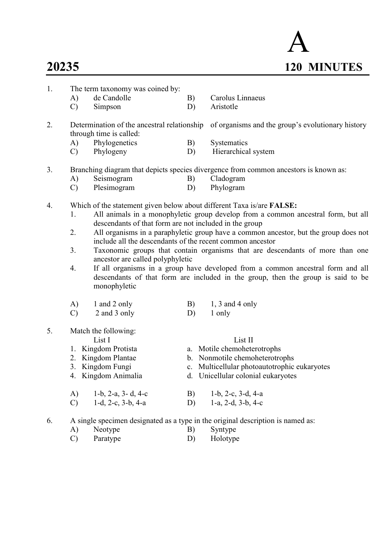# A 20235 120 MINUTES

- 1. The term taxonomy was coined by:
	- A) de Candolle B) Carolus Linnaeus
	- C) Simpson D) Aristotle

2. Determination of the ancestral relationship of organisms and the group's evolutionary history through time is called:

- A) Phylogenetics B) Systematics
- C) Phylogeny D) Hierarchical system
- 3. Branching diagram that depicts species divergence from common ancestors is known as:
	- A) Seismogram B) Cladogram
		- C) Plesimogram D) Phylogram
- 4. Which of the statement given below about different Taxa is/are FALSE:
	- 1. All animals in a monophyletic group develop from a common ancestral form, but all descendants of that form are not included in the group
	- 2. All organisms in a paraphyletic group have a common ancestor, but the group does not include all the descendants of the recent common ancestor
	- 3. Taxonomic groups that contain organisms that are descendants of more than one ancestor are called polyphyletic
	- 4. If all organisms in a group have developed from a common ancestral form and all descendants of that form are included in the group, then the group is said to be monophyletic
	- A) 1 and 2 only B) 1, 3 and 4 only C) 2 and 3 only D) 1 only
- 5. Match the following:

List I List II

- 1. Kingdom Protista a. Motile chemoheterotrophs
- 2. Kingdom Plantae b. Nonmotile chemoheterotrophs
- 3. Kingdom Fungi c. Multicellular photoautotrophic eukaryotes
- 4. Kingdom Animalia d. Unicellular colonial eukaryotes
- A) 1-b, 2-a, 3- d, 4-c B) 1-b, 2-c, 3-d, 4-a C) 1-d, 2-c, 3-b, 4-a D) 1-a, 2-d, 3-b, 4-c
- 6. A single specimen designated as a type in the original description is named as:
	- A) Neotype B) Syntype
	- C) Paratype D) Holotype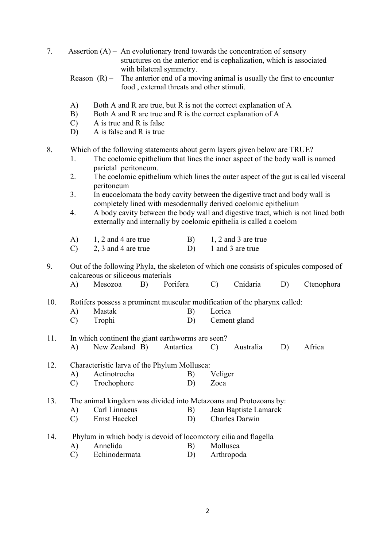| 7.                                                                                                                                                                                                                                                                                                       |                                              |                                                                                                                                                                                                                                                                                                         | Assertion $(A)$ – An evolutionary trend towards the concentration of sensory<br>structures on the anterior end is cephalization, which is associated          |                                                                                                                                                                                         |          |               |                                           |                                                                                        |            |  |
|----------------------------------------------------------------------------------------------------------------------------------------------------------------------------------------------------------------------------------------------------------------------------------------------------------|----------------------------------------------|---------------------------------------------------------------------------------------------------------------------------------------------------------------------------------------------------------------------------------------------------------------------------------------------------------|---------------------------------------------------------------------------------------------------------------------------------------------------------------|-----------------------------------------------------------------------------------------------------------------------------------------------------------------------------------------|----------|---------------|-------------------------------------------|----------------------------------------------------------------------------------------|------------|--|
|                                                                                                                                                                                                                                                                                                          |                                              |                                                                                                                                                                                                                                                                                                         | with bilateral symmetry.<br>Reason $(R)$ – The anterior end of a moving animal is usually the first to encounter<br>food, external threats and other stimuli. |                                                                                                                                                                                         |          |               |                                           |                                                                                        |            |  |
|                                                                                                                                                                                                                                                                                                          | A)<br>B)<br>$\mathcal{C}$<br>D)              |                                                                                                                                                                                                                                                                                                         |                                                                                                                                                               | Both A and R are true, but R is not the correct explanation of A<br>Both A and R are true and R is the correct explanation of A<br>A is true and R is false<br>A is false and R is true |          |               |                                           |                                                                                        |            |  |
| 8.<br>Which of the following statements about germ layers given below are TRUE?<br>The coelomic epithelium that lines the inner aspect of the body wall is named<br>1.<br>parietal peritoneum.<br>The coelomic epithelium which lines the outer aspect of the gut is called visceral<br>2.<br>peritoneum |                                              |                                                                                                                                                                                                                                                                                                         |                                                                                                                                                               |                                                                                                                                                                                         |          |               |                                           |                                                                                        |            |  |
|                                                                                                                                                                                                                                                                                                          | 3.<br>4.                                     | In eucoelomata the body cavity between the digestive tract and body wall is<br>completely lined with mesodermally derived coelomic epithelium<br>A body cavity between the body wall and digestive tract, which is not lined both<br>externally and internally by coelomic epithelia is called a coelom |                                                                                                                                                               |                                                                                                                                                                                         |          |               |                                           |                                                                                        |            |  |
|                                                                                                                                                                                                                                                                                                          | A)<br>$\mathcal{C}$                          |                                                                                                                                                                                                                                                                                                         | 1, 2 and 4 are true<br>2, 3 and 4 are true                                                                                                                    |                                                                                                                                                                                         | B)<br>D) |               | $1, 2$ and 3 are true<br>1 and 3 are true |                                                                                        |            |  |
| 9.                                                                                                                                                                                                                                                                                                       |                                              |                                                                                                                                                                                                                                                                                                         | calcareous or siliceous materials                                                                                                                             |                                                                                                                                                                                         |          |               |                                           | Out of the following Phyla, the skeleton of which one consists of spicules composed of |            |  |
|                                                                                                                                                                                                                                                                                                          | A)                                           | Mesozoa                                                                                                                                                                                                                                                                                                 | B)                                                                                                                                                            | Porifera                                                                                                                                                                                |          | $\mathcal{C}$ | Cnidaria                                  | D)                                                                                     | Ctenophora |  |
| 10.                                                                                                                                                                                                                                                                                                      |                                              | Rotifers possess a prominent muscular modification of the pharynx called:                                                                                                                                                                                                                               |                                                                                                                                                               |                                                                                                                                                                                         |          |               |                                           |                                                                                        |            |  |
|                                                                                                                                                                                                                                                                                                          | A)                                           | Mastak                                                                                                                                                                                                                                                                                                  |                                                                                                                                                               |                                                                                                                                                                                         |          | Lorica        |                                           |                                                                                        |            |  |
|                                                                                                                                                                                                                                                                                                          | $\mathcal{C}$                                | Trophi                                                                                                                                                                                                                                                                                                  |                                                                                                                                                               |                                                                                                                                                                                         | D)       |               | Cement gland                              |                                                                                        |            |  |
| 11.                                                                                                                                                                                                                                                                                                      |                                              |                                                                                                                                                                                                                                                                                                         | In which continent the giant earthworms are seen?                                                                                                             |                                                                                                                                                                                         |          |               |                                           |                                                                                        |            |  |
|                                                                                                                                                                                                                                                                                                          | A)                                           |                                                                                                                                                                                                                                                                                                         | New Zealand B)                                                                                                                                                | Antartica                                                                                                                                                                               |          | $\mathcal{C}$ | Australia                                 | D)                                                                                     | Africa     |  |
| 12.                                                                                                                                                                                                                                                                                                      | Characteristic larva of the Phylum Mollusca: |                                                                                                                                                                                                                                                                                                         |                                                                                                                                                               |                                                                                                                                                                                         |          |               |                                           |                                                                                        |            |  |
|                                                                                                                                                                                                                                                                                                          | A)                                           | Actinotrocha                                                                                                                                                                                                                                                                                            |                                                                                                                                                               |                                                                                                                                                                                         | B)       | Veliger       |                                           |                                                                                        |            |  |
|                                                                                                                                                                                                                                                                                                          | $\mathcal{C}$                                | Trochophore                                                                                                                                                                                                                                                                                             |                                                                                                                                                               |                                                                                                                                                                                         | D)       | Zoea          |                                           |                                                                                        |            |  |
| 13.                                                                                                                                                                                                                                                                                                      |                                              | The animal kingdom was divided into Metazoans and Protozoans by:                                                                                                                                                                                                                                        |                                                                                                                                                               |                                                                                                                                                                                         |          |               |                                           |                                                                                        |            |  |
|                                                                                                                                                                                                                                                                                                          | A)                                           | Carl Linnaeus                                                                                                                                                                                                                                                                                           |                                                                                                                                                               |                                                                                                                                                                                         | B)       |               | Jean Baptiste Lamarck                     |                                                                                        |            |  |
|                                                                                                                                                                                                                                                                                                          | $\mathcal{C}$                                | Ernst Haeckel                                                                                                                                                                                                                                                                                           |                                                                                                                                                               |                                                                                                                                                                                         | D)       |               | Charles Darwin                            |                                                                                        |            |  |
| 14.                                                                                                                                                                                                                                                                                                      |                                              | Phylum in which body is devoid of locomotory cilia and flagella                                                                                                                                                                                                                                         |                                                                                                                                                               |                                                                                                                                                                                         |          |               |                                           |                                                                                        |            |  |
|                                                                                                                                                                                                                                                                                                          | A)                                           | Annelida                                                                                                                                                                                                                                                                                                |                                                                                                                                                               |                                                                                                                                                                                         | B)       | Mollusca      |                                           |                                                                                        |            |  |
|                                                                                                                                                                                                                                                                                                          | $\mathcal{C}$                                |                                                                                                                                                                                                                                                                                                         | Echinodermata                                                                                                                                                 |                                                                                                                                                                                         | D)       |               | Arthropoda                                |                                                                                        |            |  |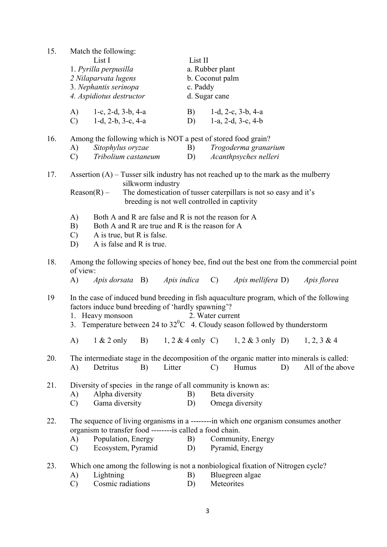| 15. | Match the following:<br>List I<br>1. Pyrilla perpusilla<br>2 Nilaparvata lugens<br>3. Nephantis serinopa<br>4. Aspidiotus destructor                                                                  |          | List II<br>a. Rubber plant<br>b. Coconut palm<br>c. Paddy<br>d. Sugar cane                                                                                                                                |  |  |  |  |  |
|-----|-------------------------------------------------------------------------------------------------------------------------------------------------------------------------------------------------------|----------|-----------------------------------------------------------------------------------------------------------------------------------------------------------------------------------------------------------|--|--|--|--|--|
|     | A)<br>1-c, 2-d, $3-b$ , $4-a$<br>$\mathcal{C}$ )<br>$1-d$ , $2-b$ , $3-c$ , $4-a$                                                                                                                     | B)<br>D) | 1-d, 2-c, $3-b$ , $4-a$<br>1-a, 2-d, $3-c$ , $4-b$                                                                                                                                                        |  |  |  |  |  |
| 16. | Among the following which is NOT a pest of stored food grain?<br>Sitophylus oryzae<br>A)<br>Tribolium castaneum<br>$\mathcal{C}$                                                                      |          | Trogoderma granarium<br>B)<br>Acanthpsyches nelleri<br>D)                                                                                                                                                 |  |  |  |  |  |
| 17. | silkworm industry<br>$Reason(R) -$                                                                                                                                                                    |          | Assertion $(A)$ – Tusser silk industry has not reached up to the mark as the mulberry<br>The domestication of tusser caterpillars is not so easy and it's<br>breeding is not well controlled in captivity |  |  |  |  |  |
|     | Both A and R are false and R is not the reason for A<br>A)<br>Both A and R are true and R is the reason for A<br>B)<br>$\mathcal{C}$<br>A is true, but R is false.<br>A is false and R is true.<br>D) |          |                                                                                                                                                                                                           |  |  |  |  |  |
| 18. | of view:<br><i>Apis dorsata</i> B)<br>A)                                                                                                                                                              |          | Among the following species of honey bee, find out the best one from the commercial point<br>Apis indica C) Apis mellifera D) Apis florea                                                                 |  |  |  |  |  |
| 19  | factors induce bund breeding of 'hardly spawning'?<br>1. Heavy monsoon                                                                                                                                |          | In the case of induced bund breeding in fish aquaculture program, which of the following<br>2. Water current<br>3. Temperature between 24 to $32^0C$ 4. Cloudy season followed by thunderstorm            |  |  |  |  |  |
|     | A)<br>$1 & 2$ only<br>B)                                                                                                                                                                              |          | 1, 2 & 4 only C) 1, 2 & 3 only D) 1, 2, 3 & 4                                                                                                                                                             |  |  |  |  |  |
| 20. | Litter<br>A)<br>Detritus<br>B)                                                                                                                                                                        |          | The intermediate stage in the decomposition of the organic matter into minerals is called:<br>Humus<br>D)<br>All of the above<br>$\mathcal{C}$                                                            |  |  |  |  |  |
| 21. | Diversity of species in the range of all community is known as:<br>Alpha diversity<br>A)<br>Gama diversity<br>$\mathcal{C}$                                                                           | B)<br>D) | Beta diversity<br>Omega diversity                                                                                                                                                                         |  |  |  |  |  |
| 22. | organism to transfer food ---------is called a food chain.<br>Population, Energy<br>A)<br>Ecosystem, Pyramid<br>$\mathbf{C}$                                                                          | B)<br>D) | The sequence of living organisms in a --------in which one organism consumes another<br>Community, Energy<br>Pyramid, Energy                                                                              |  |  |  |  |  |
| 23. | Lightning<br>A)<br>Cosmic radiations<br>$\mathcal{C}$                                                                                                                                                 | B)<br>D) | Which one among the following is not a nonbiological fixation of Nitrogen cycle?<br>Bluegreen algae<br>Meteorites                                                                                         |  |  |  |  |  |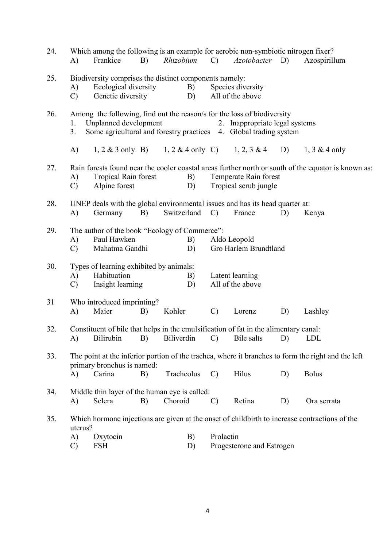| 24. | A)                  | Frankice                                                                   | B) | Which among the following is an example for aerobic non-symbiotic nitrogen fixer?<br>Rhizobium                                               | $\mathbf{C}$  | <i>Azotobacter</i> D)                          |    | Azospirillum                                                                                        |
|-----|---------------------|----------------------------------------------------------------------------|----|----------------------------------------------------------------------------------------------------------------------------------------------|---------------|------------------------------------------------|----|-----------------------------------------------------------------------------------------------------|
| 25. | A)<br>$\mathcal{C}$ | Ecological diversity<br>Genetic diversity                                  |    | Biodiversity comprises the distinct components namely:<br>B)<br>D)                                                                           |               | Species diversity<br>All of the above          |    |                                                                                                     |
| 26. | 1.<br>3.            | Unplanned development                                                      |    | Among the following, find out the reason/s for the loss of biodiversity<br>Some agricultural and forestry practices 4. Global trading system |               | 2. Inappropriate legal systems                 |    |                                                                                                     |
|     | A)                  |                                                                            |    | 1, 2 & 3 only B) 1, 2 & 4 only C) 1, 2, 3 & 4 D)                                                                                             |               |                                                |    | $1, 3 \& 4$ only                                                                                    |
| 27. | A)<br>C)            | <b>Tropical Rain forest</b><br>Alpine forest                               |    | B)<br>D)                                                                                                                                     |               | Temperate Rain forest<br>Tropical scrub jungle |    | Rain forests found near the cooler coastal areas further north or south of the equator is known as: |
| 28. | A)                  | Germany                                                                    | B) | UNEP deals with the global environmental issues and has its head quarter at:<br>Switzerland                                                  | $\mathcal{C}$ | France                                         | D) | Kenya                                                                                               |
| 29. | A)<br>$\mathcal{C}$ | Paul Hawken<br>Mahatma Gandhi                                              |    | The author of the book "Ecology of Commerce":<br>B)<br>D)                                                                                    |               | Aldo Leopold<br>Gro Harlem Brundtland          |    |                                                                                                     |
| 30. | A)<br>$\mathcal{C}$ | Types of learning exhibited by animals:<br>Habituation<br>Insight learning |    | B)<br>D)                                                                                                                                     |               | Latent learning<br>All of the above            |    |                                                                                                     |
| 31  | A)                  | Who introduced imprinting?<br>Maier                                        | B) | Kohler                                                                                                                                       | $\mathcal{C}$ | Lorenz                                         | D) | Lashley                                                                                             |
| 32. |                     |                                                                            |    | Constituent of bile that helps in the emulsification of fat in the alimentary canal:<br>A) Bilirubin B) Biliverdin C) Bile salts D) LDL      |               |                                                |    |                                                                                                     |
| 33. |                     | primary bronchus is named:                                                 |    |                                                                                                                                              |               |                                                |    | The point at the inferior portion of the trachea, where it branches to form the right and the left  |
|     | A)                  | Carina                                                                     | B) | Tracheolus                                                                                                                                   | $\mathcal{C}$ | Hilus                                          | D) | <b>Bolus</b>                                                                                        |
| 34. | A)                  | Sclera                                                                     | B) | Middle thin layer of the human eye is called:<br>Choroid                                                                                     | $\mathcal{C}$ | Retina                                         | D) | Ora serrata                                                                                         |
| 35. | uterus?             |                                                                            |    |                                                                                                                                              |               |                                                |    | Which hormone injections are given at the onset of childbirth to increase contractions of the       |
|     | A)<br>$\mathcal{C}$ | Oxytocin<br><b>FSH</b>                                                     |    | B)<br>D)                                                                                                                                     | Prolactin     | Progesterone and Estrogen                      |    |                                                                                                     |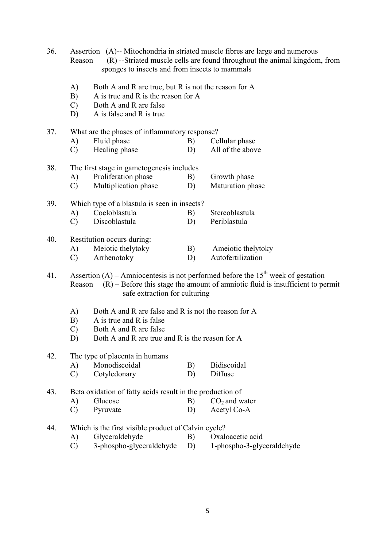| 36. | Reason                                                                                                                                                                                                            | Assertion (A)-- Mitochondria in striated muscle fibres are large and numerous<br>(R) --Striated muscle cells are found throughout the animal kingdom, from<br>sponges to insects and from insects to mammals |    |                    |  |  |  |  |
|-----|-------------------------------------------------------------------------------------------------------------------------------------------------------------------------------------------------------------------|--------------------------------------------------------------------------------------------------------------------------------------------------------------------------------------------------------------|----|--------------------|--|--|--|--|
|     | A)<br>B)<br>$\mathcal{C}$<br>D)                                                                                                                                                                                   | Both A and R are true, but R is not the reason for A<br>A is true and R is the reason for A<br>Both A and R are false<br>A is false and R is true                                                            |    |                    |  |  |  |  |
| 37. | What are the phases of inflammatory response?                                                                                                                                                                     |                                                                                                                                                                                                              |    |                    |  |  |  |  |
|     | A)                                                                                                                                                                                                                | Fluid phase                                                                                                                                                                                                  | B) | Cellular phase     |  |  |  |  |
|     | $\mathcal{C}$                                                                                                                                                                                                     | Healing phase                                                                                                                                                                                                | D) | All of the above   |  |  |  |  |
|     |                                                                                                                                                                                                                   |                                                                                                                                                                                                              |    |                    |  |  |  |  |
| 38. | The first stage in gametogenesis includes                                                                                                                                                                         |                                                                                                                                                                                                              |    |                    |  |  |  |  |
|     | A)                                                                                                                                                                                                                | Proliferation phase                                                                                                                                                                                          | B) | Growth phase       |  |  |  |  |
|     | $\mathcal{C}$                                                                                                                                                                                                     | Multiplication phase                                                                                                                                                                                         | D) | Maturation phase   |  |  |  |  |
| 39. |                                                                                                                                                                                                                   | Which type of a blastula is seen in insects?                                                                                                                                                                 |    |                    |  |  |  |  |
|     | A)                                                                                                                                                                                                                | Coeloblastula                                                                                                                                                                                                | B) | Stereoblastula     |  |  |  |  |
|     | $\mathcal{C}$                                                                                                                                                                                                     | Discoblastula                                                                                                                                                                                                | D) | Periblastula       |  |  |  |  |
| 40. |                                                                                                                                                                                                                   | Restitution occurs during:                                                                                                                                                                                   |    |                    |  |  |  |  |
|     | A)                                                                                                                                                                                                                | Meiotic thelytoky                                                                                                                                                                                            | B) | Ameiotic thelytoky |  |  |  |  |
|     | $\mathcal{C}$                                                                                                                                                                                                     | Arrhenotoky                                                                                                                                                                                                  | D) | Autofertilization  |  |  |  |  |
|     |                                                                                                                                                                                                                   |                                                                                                                                                                                                              |    |                    |  |  |  |  |
| 41. | Assertion (A) – Amniocentesis is not performed before the $15th$ week of gestation<br>$(R)$ – Before this stage the amount of amniotic fluid is insufficient to permit<br>Reason<br>safe extraction for culturing |                                                                                                                                                                                                              |    |                    |  |  |  |  |
|     | Both A and R are false and R is not the reason for A<br>A)                                                                                                                                                        |                                                                                                                                                                                                              |    |                    |  |  |  |  |
|     | B)                                                                                                                                                                                                                | A is true and R is false                                                                                                                                                                                     |    |                    |  |  |  |  |
|     | Both A and R are false<br>C)                                                                                                                                                                                      |                                                                                                                                                                                                              |    |                    |  |  |  |  |
|     | D)                                                                                                                                                                                                                | Both A and R are true and R is the reason for A                                                                                                                                                              |    |                    |  |  |  |  |
| 42. |                                                                                                                                                                                                                   | The type of placenta in humans                                                                                                                                                                               |    |                    |  |  |  |  |
|     | A)                                                                                                                                                                                                                | Monodiscoidal                                                                                                                                                                                                | B) | Bidiscoidal        |  |  |  |  |
|     | $\mathcal{C}$                                                                                                                                                                                                     | Cotyledonary                                                                                                                                                                                                 | D) | Diffuse            |  |  |  |  |
| 43. |                                                                                                                                                                                                                   | Beta oxidation of fatty acids result in the production of                                                                                                                                                    |    |                    |  |  |  |  |
|     | A)                                                                                                                                                                                                                | Glucose                                                                                                                                                                                                      | B) | $CO2$ and water    |  |  |  |  |
|     | $\mathcal{C}$                                                                                                                                                                                                     | Pyruvate                                                                                                                                                                                                     | D) | Acetyl Co-A        |  |  |  |  |
| 44. |                                                                                                                                                                                                                   | Which is the first visible product of Calvin cycle?                                                                                                                                                          |    |                    |  |  |  |  |
|     | A)                                                                                                                                                                                                                | Glyceraldehyde                                                                                                                                                                                               | B) | Oxaloacetic acid   |  |  |  |  |
|     |                                                                                                                                                                                                                   |                                                                                                                                                                                                              |    |                    |  |  |  |  |

C) 3-phospho-glyceraldehyde D) 1-phospho-3-glyceraldehyde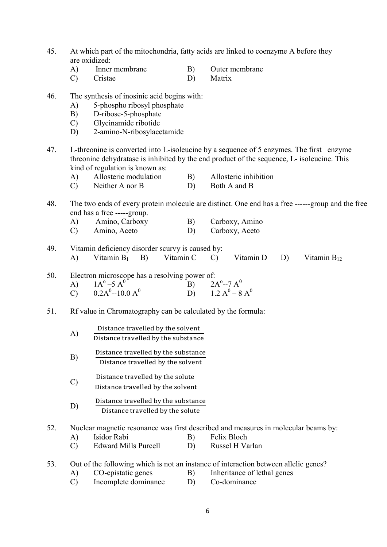- 45. At which part of the mitochondria, fatty acids are linked to coenzyme A before they are oxidized:
	- A) Inner membrane B) Outer membrane
	- C) Cristae D) Matrix
- 46. The synthesis of inosinic acid begins with:
	- A) 5-phospho ribosyl phosphate
	- B) D-ribose-5-phosphate
	- C) Glycinamide ribotide
	- D) 2-amino-N-ribosylacetamide
- 47. L-threonine is converted into L-isoleucine by a sequence of 5 enzymes. The first enzyme threonine dehydratase is inhibited by the end product of the sequence, L- isoleucine. This kind of regulation is known as:
	- A) Allosteric modulation B) Allosteric inhibition
	- C) Neither A nor B D) Both A and B
- 48. The two ends of every protein molecule are distinct. One end has a free ------group and the free end has a free -----group.
	- A) Amino, Carboxy B) Carboxy, Amino
	- C) Amino, Aceto D) Carboxy, Aceto
- 49. Vitamin deficiency disorder scurvy is caused by: A) Vitamin  $B_1$  B) Vitamin C C) Vitamin D D) Vitamin  $B_{12}$
- 50. Electron microscope has a resolving power of:
- A)  $1A^{\circ}-5A^{\circ}$  $(B)$  2A<sup>o</sup>--7 A<sup>0</sup> C)  $0.2A^{0}$ --10.0  $A^{0}$  $(D)$  1.2  $A^0 - 8 A^0$

# 51. Rf value in Chromatography can be calculated by the formula:

- $A)$  Distance travelled by the solvent Distance travelled by the substance
- B) Distance travelled by the substance Distance travelled by the solvent
- $(C)$  Distance travelled by the solute Distance travelled by the solvent
- D) Distance travelled by the substance Distance travelled by the solute
- 52. Nuclear magnetic resonance was first described and measures in molecular beams by:
	- A) Isidor Rabi B) Felix Bloch
	- C) Edward Mills Purcell D) Russel H Varlan

53. Out of the following which is not an instance of interaction between allelic genes?

- A) CO-epistatic genes B) Inheritance of lethal genes
- C) Incomplete dominance D) Co-dominance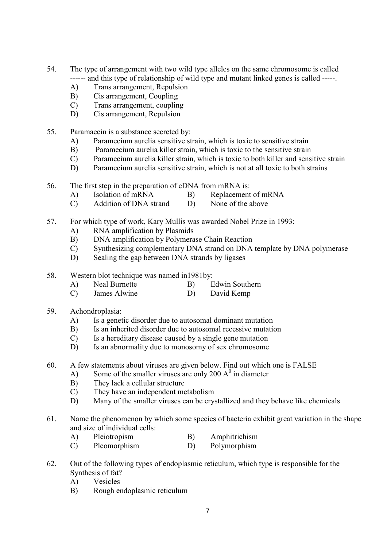- 54. The type of arrangement with two wild type alleles on the same chromosome is called ------ and this type of relationship of wild type and mutant linked genes is called -----.
	- A) Trans arrangement, Repulsion
	- B) Cis arrangement, Coupling
	- C) Trans arrangement, coupling
	- D) Cis arrangement, Repulsion
- 55. Paramaecin is a substance secreted by:
	- A) Paramecium aurelia sensitive strain, which is toxic to sensitive strain
	- B) Paramecium aurelia killer strain, which is toxic to the sensitive strain
	- C) Paramecium aurelia killer strain, which is toxic to both killer and sensitive strain
	- D) Paramecium aurelia sensitive strain, which is not at all toxic to both strains
- 56. The first step in the preparation of cDNA from mRNA is:
	- A) Isolation of mRNA B) Replacement of mRNA
	- C) Addition of DNA strand D) None of the above
- 57. For which type of work, Kary Mullis was awarded Nobel Prize in 1993:
	- A) RNA amplification by Plasmids
	- B) DNA amplification by Polymerase Chain Reaction
	- C) Synthesizing complementary DNA strand on DNA template by DNA polymerase
	- D) Sealing the gap between DNA strands by ligases
- 58. Western blot technique was named in1981by:
	- A) Neal Burnette B) Edwin Southern
	- C) James Alwine D) David Kemp
- 59. Achondroplasia:
	- A) Is a genetic disorder due to autosomal dominant mutation
	- B) Is an inherited disorder due to autosomal recessive mutation
	- C) Is a hereditary disease caused by a single gene mutation
	- D) Is an abnormality due to monosomy of sex chromosome
- 60. A few statements about viruses are given below. Find out which one is FALSE
- A) Some of the smaller viruses are only 200  $A^0$  in diameter
	- B) They lack a cellular structure
	- C) They have an independent metabolism
	- D) Many of the smaller viruses can be crystallized and they behave like chemicals
- 61. Name the phenomenon by which some species of bacteria exhibit great variation in the shape and size of individual cells:
	- A) Pleiotropism B) Amphitrichism
	- C) Pleomorphism D) Polymorphism
- 62. Out of the following types of endoplasmic reticulum, which type is responsible for the Synthesis of fat?
	- A) Vesicles
	- B) Rough endoplasmic reticulum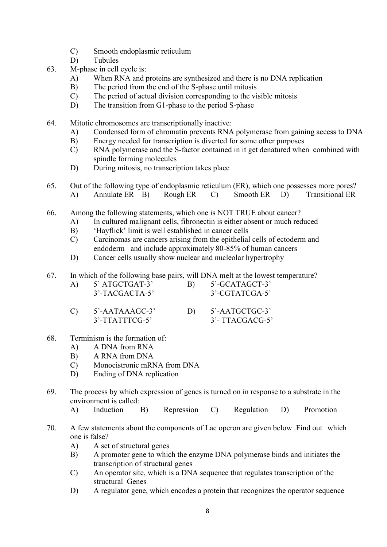- C) Smooth endoplasmic reticulum
- D) Tubules
- 63. M-phase in cell cycle is:
	- A) When RNA and proteins are synthesized and there is no DNA replication
	- B) The period from the end of the S-phase until mitosis
	- C) The period of actual division corresponding to the visible mitosis
	- D) The transition from G1-phase to the period S-phase
- 64. Mitotic chromosomes are transcriptionally inactive:
	- A) Condensed form of chromatin prevents RNA polymerase from gaining access to DNA
	- B) Energy needed for transcription is diverted for some other purposes
	- C) RNA polymerase and the S-factor contained in it get denatured when combined with spindle forming molecules
	- D) During mitosis, no transcription takes place
- 65. Out of the following type of endoplasmic reticulum (ER), which one possesses more pores? A) Annulate ER B) Rough ER C) Smooth ER D) Transitional ER
- 66. Among the following statements, which one is NOT TRUE about cancer?
	- A) In cultured malignant cells, fibronectin is either absent or much reduced
	- B) 'Hayflick' limit is well established in cancer cells
	- C) Carcinomas are cancers arising from the epithelial cells of ectoderm and endoderm and include approximately 80-85% of human cancers
	- D) Cancer cells usually show nuclear and nucleolar hypertrophy
- 67. In which of the following base pairs, will DNA melt at the lowest temperature?
	- A) 5' ATGCTGAT-3' B) 5'-GCATAGCT-3' 3'-TACGACTA-5' 3'-CGTATCGA-5'
	- C) 5'-AATAAAGC-3' D) 5'-AATGCTGC-3' 3'-TTATTTCG-5' 3'- TTACGACG-5'
- 68. Terminism is the formation of:
	- A) A DNA from RNA
	- B) A RNA from DNA
	- C) Monocistronic mRNA from DNA
	- D) Ending of DNA replication
- 69. The process by which expression of genes is turned on in response to a substrate in the environment is called:
	- A) Induction B) Repression C) Regulation D) Promotion
- 70. A few statements about the components of Lac operon are given below .Find out which one is false?
	- A) A set of structural genes
	- B) A promoter gene to which the enzyme DNA polymerase binds and initiates the transcription of structural genes
	- C) An operator site, which is a DNA sequence that regulates transcription of the structural Genes
	- D) A regulator gene, which encodes a protein that recognizes the operator sequence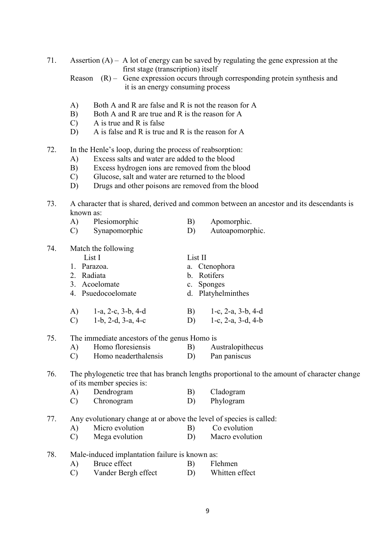| 71. | Assertion $(A)$ – A lot of energy can be saved by regulating the gene expression at the<br>first stage (transcription) itself |                                                                                                                 |                                                                                           |  |  |  |  |
|-----|-------------------------------------------------------------------------------------------------------------------------------|-----------------------------------------------------------------------------------------------------------------|-------------------------------------------------------------------------------------------|--|--|--|--|
|     | Reason                                                                                                                        | $(R)$ – Gene expression occurs through corresponding protein synthesis and<br>it is an energy consuming process |                                                                                           |  |  |  |  |
|     |                                                                                                                               |                                                                                                                 |                                                                                           |  |  |  |  |
|     | Both A and R are false and R is not the reason for A<br>A)<br>Both A and R are true and R is the reason for A                 |                                                                                                                 |                                                                                           |  |  |  |  |
|     | B)<br>A is true and R is false<br>$\mathcal{C}$                                                                               |                                                                                                                 |                                                                                           |  |  |  |  |
|     | A is false and R is true and R is the reason for A<br>D)                                                                      |                                                                                                                 |                                                                                           |  |  |  |  |
| 72. | In the Henle's loop, during the process of reabsorption:                                                                      |                                                                                                                 |                                                                                           |  |  |  |  |
|     | Excess salts and water are added to the blood<br>A)                                                                           |                                                                                                                 |                                                                                           |  |  |  |  |
|     | B)<br>Excess hydrogen ions are removed from the blood<br>Glucose, salt and water are returned to the blood<br>$\mathcal{C}$   |                                                                                                                 |                                                                                           |  |  |  |  |
|     | Drugs and other poisons are removed from the blood<br>D)                                                                      |                                                                                                                 |                                                                                           |  |  |  |  |
| 73. |                                                                                                                               |                                                                                                                 | A character that is shared, derived and common between an ancestor and its descendants is |  |  |  |  |
|     | known as:<br>Plesiomorphic<br>A)                                                                                              | B)                                                                                                              | Apomorphic.                                                                               |  |  |  |  |
|     | Synapomorphic<br>$\mathcal{C}$                                                                                                | D)                                                                                                              | Autoapomorphic.                                                                           |  |  |  |  |
|     |                                                                                                                               |                                                                                                                 |                                                                                           |  |  |  |  |
| 74. | Match the following<br>List I                                                                                                 | List II                                                                                                         |                                                                                           |  |  |  |  |
|     | 1. Parazoa.                                                                                                                   | a. Ctenophora                                                                                                   |                                                                                           |  |  |  |  |
|     | 2. Radiata                                                                                                                    |                                                                                                                 | b. Rotifers                                                                               |  |  |  |  |
|     | 3. Acoelomate                                                                                                                 | c.                                                                                                              | Sponges                                                                                   |  |  |  |  |
|     | 4. Psuedocoelomate                                                                                                            |                                                                                                                 | d. Platyhelminthes                                                                        |  |  |  |  |
|     | $1-a$ , $2-c$ , $3-b$ , $4-d$<br>A)                                                                                           | B)                                                                                                              | 1-c, $2-a$ , $3-b$ , $4-d$                                                                |  |  |  |  |
|     | $\mathcal{C}$<br>$1-b$ , $2-d$ , $3-a$ , $4-c$                                                                                | D)                                                                                                              | 1-c, $2-a$ , $3-d$ , $4-b$                                                                |  |  |  |  |
| 75. | The immediate ancestors of the genus Homo is                                                                                  |                                                                                                                 |                                                                                           |  |  |  |  |
|     | Homo floresiensis (B) Australopithecus<br>A)                                                                                  |                                                                                                                 |                                                                                           |  |  |  |  |
|     | Homo neaderthalensis<br>$\mathcal{C}$                                                                                         | D)                                                                                                              | Pan paniscus                                                                              |  |  |  |  |
| 76. | The phylogenetic tree that has branch lengths proportional to the amount of character change                                  |                                                                                                                 |                                                                                           |  |  |  |  |
|     | of its member species is:                                                                                                     |                                                                                                                 |                                                                                           |  |  |  |  |
|     | Dendrogram<br>A)<br>Chronogram<br>$\mathcal{C}$                                                                               | B)<br>D)                                                                                                        | Cladogram<br>Phylogram                                                                    |  |  |  |  |
|     |                                                                                                                               |                                                                                                                 |                                                                                           |  |  |  |  |
| 77. | Any evolutionary change at or above the level of species is called:                                                           |                                                                                                                 |                                                                                           |  |  |  |  |
|     | Micro evolution<br>A)<br>Mega evolution<br>$\mathcal{C}$                                                                      | B)<br>D)                                                                                                        | Co evolution<br>Macro evolution                                                           |  |  |  |  |
|     |                                                                                                                               |                                                                                                                 |                                                                                           |  |  |  |  |
| 78. | Male-induced implantation failure is known as:                                                                                |                                                                                                                 |                                                                                           |  |  |  |  |
|     | Bruce effect<br>A)                                                                                                            | B)                                                                                                              | Flehmen                                                                                   |  |  |  |  |
|     | Vander Bergh effect<br>$\mathcal{C}$                                                                                          | D)                                                                                                              | Whitten effect                                                                            |  |  |  |  |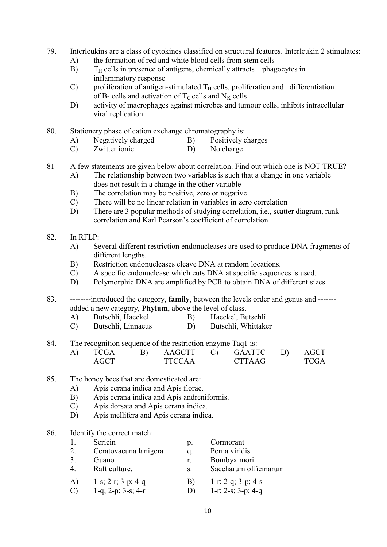- 79. Interleukins are a class of cytokines classified on structural features. Interleukin 2 stimulates:
	- A) the formation of red and white blood cells from stem cells
	- $B$ )  $T_H$  cells in presence of antigens, chemically attracts phagocytes in inflammatory response
	- C) proliferation of antigen-stimulated  $T_H$  cells, proliferation and differentiation of B- cells and activation of  $T_C$  cells and  $N_K$  cells
	- D) activity of macrophages against microbes and tumour cells, inhibits intracellular viral replication
- 80. Stationery phase of cation exchange chromatography is:
	- A) Negatively charged B) Positively charges
	- C) Zwitter ionic D) No charge
- 81 A few statements are given below about correlation. Find out which one is NOT TRUE?
	- A) The relationship between two variables is such that a change in one variable does not result in a change in the other variable
	- B) The correlation may be positive, zero or negative
	- C) There will be no linear relation in variables in zero correlation
	- D) There are 3 popular methods of studying correlation, i.e., scatter diagram, rank correlation and Karl Pearson's coefficient of correlation

### 82. In RFLP:

- A) Several different restriction endonucleases are used to produce DNA fragments of different lengths.
- B) Restriction endonucleases cleave DNA at random locations.
- C) A specific endonuclease which cuts DNA at specific sequences is used.
- D) Polymorphic DNA are amplified by PCR to obtain DNA of different sizes.

83. --------introduced the category, family, between the levels order and genus and ------added a new category, Phylum, above the level of class.

- A) Butschli, Haeckel B) Haeckel, Butschli
- C) Butschli, Linnaeus D) Butschli, Whittaker
- 84. The recognition sequence of the restriction enzyme Taq1 is:

| A) | TCGA |        | B) AAGCTT C) GAATTC D) AGCT |      |
|----|------|--------|-----------------------------|------|
|    | AGCT | TTCCAA | <b>CTTAAG</b>               | TCGA |

- 85. The honey bees that are domesticated are:
	- A) Apis cerana indica and Apis florae.
	- B) Apis cerana indica and Apis andreniformis.
	- C) Apis dorsata and Apis cerana indica.
	- D) Apis mellifera and Apis cerana indica.

#### 86. Identify the correct match:

|    | Sericin               | $\mathfrak{p}.$ | Cormorant             |
|----|-----------------------|-----------------|-----------------------|
| 2. | Ceratovacuna lanigera | q.              | Perna viridis         |
| 3. | Guano                 | r.              | Bombyx mori           |
| 4. | Raft culture.         | S.              | Saccharum officinarum |
| A) | 1-s; 2-r; 3-p; 4-q    | B)              | 1-r; 2-q; 3-p; 4-s    |
|    | 1-q; 2-p; 3-s; 4-r    |                 | 1-r; 2-s; $3-p$ ; 4-q |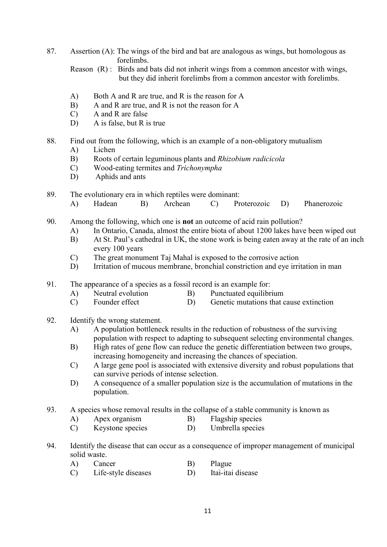87. Assertion (A): The wings of the bird and bat are analogous as wings, but homologous as forelimbs.

 Reason (R) : Birds and bats did not inherit wings from a common ancestor with wings, but they did inherit forelimbs from a common ancestor with forelimbs.

- A) Both A and R are true, and R is the reason for A
- B) A and R are true, and R is not the reason for A
- C) A and R are false
- D) A is false, but R is true

# 88. Find out from the following, which is an example of a non-obligatory mutualism

- A) Lichen
- B) Roots of certain leguminous plants and Rhizobium radicicola
- C) Wood-eating termites and Trichonympha
- D) Aphids and ants
- 89. The evolutionary era in which reptiles were dominant:
	- A) Hadean B) Archean C) Proterozoic D) Phanerozoic
- 90. Among the following, which one is not an outcome of acid rain pollution?
	- A) In Ontario, Canada, almost the entire biota of about 1200 lakes have been wiped out
	- B) At St. Paul's cathedral in UK, the stone work is being eaten away at the rate of an inch every 100 years
	- C) The great monument Taj Mahal is exposed to the corrosive action
	- D) Irritation of mucous membrane, bronchial constriction and eye irritation in man
- 91. The appearance of a species as a fossil record is an example for:
	- A) Neutral evolution B) Punctuated equilibrium
	- C) Founder effect D) Genetic mutations that cause extinction
- 92. Identify the wrong statement.
	- A) A population bottleneck results in the reduction of robustness of the surviving population with respect to adapting to subsequent selecting environmental changes.
	- B) High rates of gene flow can reduce the genetic differentiation between two groups, increasing homogeneity and increasing the chances of speciation.
	- C) A large gene pool is associated with extensive diversity and robust populations that can survive periods of intense selection.
	- D) A consequence of a smaller population size is the accumulation of mutations in the population.
- 93. A species whose removal results in the collapse of a stable community is known as
	- A) Apex organism B) Flagship species
	- C) Keystone species D) Umbrella species
- 94. Identify the disease that can occur as a consequence of improper management of municipal solid waste.
	- A) Cancer B) Plague
	- C) Life-style diseases D) Itai-itai disease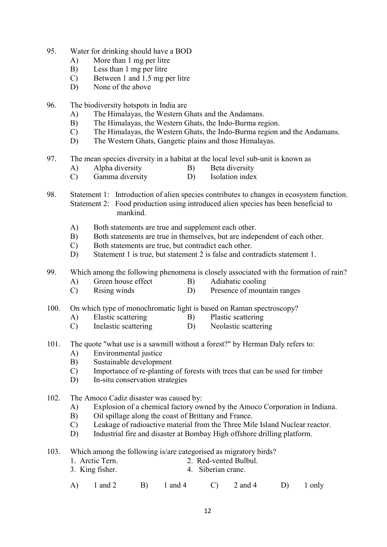- 95. Water for drinking should have a BOD
	- A) More than 1 mg per litre
	- B) Less than 1 mg per litre
	- C) Between 1 and 1.5 mg per litre
	- D) None of the above
- 96. The biodiversity hotspots in India are
	- A) The Himalayas, the Western Ghats and the Andamans.
	- B) The Himalayas, the Western Ghats, the Indo-Burma region.
	- C) The Himalayas, the Western Ghats, the Indo-Burma region and the Andamans.
	- D) The Western Ghats, Gangetic plains and those Himalayas.
- 97. The mean species diversity in a habitat at the local level sub-unit is known as
	- A) Alpha diversity B) Beta diversity
	- C) Gamma diversity D) Isolation index
- 98. Statement 1: Introduction of alien species contributes to changes in ecosystem function. Statement 2: Food production using introduced alien species has been beneficial to mankind.
	- A) Both statements are true and supplement each other.
	- B) Both statements are true in themselves, but are independent of each other.
	- C) Both statements are true, but contradict each other.
	- D) Statement 1 is true, but statement 2 is false and contradicts statement 1.

99. Which among the following phenomena is closely associated with the formation of rain?

- A) Green house effect B) Adiabatic cooling
- C) Rising winds D) Presence of mountain ranges

100. On which type of monochromatic light is based on Raman spectroscopy?

- A) Elastic scattering B) Plastic scattering
- C) Inelastic scattering D) Neolastic scattering
- 101. The quote "what use is a sawmill without a forest?" by Herman Daly refers to:
	- A) Environmental justice
	- B) Sustainable development
	- C) Importance of re-planting of forests with trees that can be used for timber
	- D) In-situ conservation strategies
- 102. The Amoco Cadiz disaster was caused by:
	- A) Explosion of a chemical factory owned by the Amoco Corporation in Indiana.
	- B) Oil spillage along the coast of Brittany and France.
	- C) Leakage of radioactive material from the Three Mile Island Nuclear reactor.
	- D) Industrial fire and disaster at Bombay High offshore drilling platform.
- 103. Which among the following is/are categorised as migratory birds?
	- 1. Arctic Tern. 2. Red-vented Bulbul.
	- 3. King fisher. 4. Siberian crane.
- A) 1 and 2 B) 1 and 4 C) 2 and 4 D) 1 only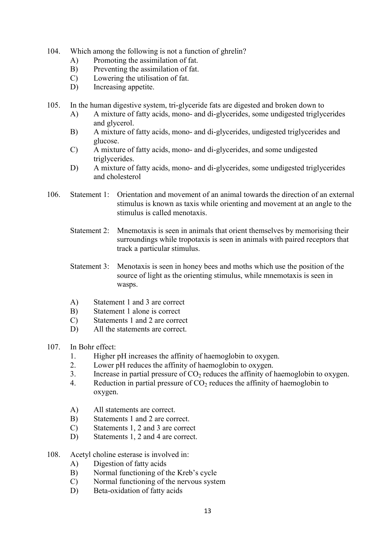- 104. Which among the following is not a function of ghrelin?
	- A) Promoting the assimilation of fat.
	- B) Preventing the assimilation of fat.
	- C) Lowering the utilisation of fat.
	- D) Increasing appetite.

105. In the human digestive system, tri-glyceride fats are digested and broken down to

- A) A mixture of fatty acids, mono- and di-glycerides, some undigested triglycerides and glycerol.
- B) A mixture of fatty acids, mono- and di-glycerides, undigested triglycerides and glucose.
- C) A mixture of fatty acids, mono- and di-glycerides, and some undigested triglycerides.
- D) A mixture of fatty acids, mono- and di-glycerides, some undigested triglycerides and cholesterol
- 106. Statement 1: Orientation and movement of an animal towards the direction of an external stimulus is known as taxis while orienting and movement at an angle to the stimulus is called menotaxis.
	- Statement 2: Mnemotaxis is seen in animals that orient themselves by memorising their surroundings while tropotaxis is seen in animals with paired receptors that track a particular stimulus.
	- Statement 3: Menotaxis is seen in honey bees and moths which use the position of the source of light as the orienting stimulus, while mnemotaxis is seen in wasps.
	- A) Statement 1 and 3 are correct
	- B) Statement 1 alone is correct
	- C) Statements 1 and 2 are correct
	- D) All the statements are correct.
- 107. In Bohr effect:
	- 1. Higher pH increases the affinity of haemoglobin to oxygen.
	- 2. Lower pH reduces the affinity of haemoglobin to oxygen.
	- 3. Increase in partial pressure of  $CO<sub>2</sub>$  reduces the affinity of haemoglobin to oxygen.
	- 4. Reduction in partial pressure of  $CO<sub>2</sub>$  reduces the affinity of haemoglobin to oxygen.
	- A) All statements are correct.
	- B) Statements 1 and 2 are correct.
	- C) Statements 1, 2 and 3 are correct
	- D) Statements 1, 2 and 4 are correct.
- 108. Acetyl choline esterase is involved in:
	- A) Digestion of fatty acids
	- B) Normal functioning of the Kreb's cycle
	- C) Normal functioning of the nervous system
	- D) Beta-oxidation of fatty acids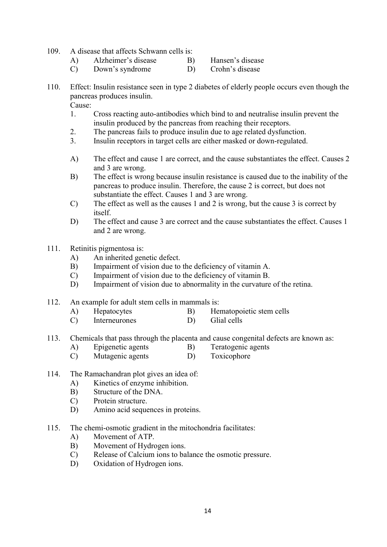- 109. A disease that affects Schwann cells is:
	- A) Alzheimer's disease B) Hansen's disease<br>
	C) Down's syndrome D) Crohn's disease
	- $(C)$  Down's syndrome D)
- 110. Effect: Insulin resistance seen in type 2 diabetes of elderly people occurs even though the pancreas produces insulin.

Cause:

- 1. Cross reacting auto-antibodies which bind to and neutralise insulin prevent the insulin produced by the pancreas from reaching their receptors.
- 2. The pancreas fails to produce insulin due to age related dysfunction.
- 3. Insulin receptors in target cells are either masked or down-regulated.
- A) The effect and cause 1 are correct, and the cause substantiates the effect. Causes 2 and 3 are wrong.
- B) The effect is wrong because insulin resistance is caused due to the inability of the pancreas to produce insulin. Therefore, the cause 2 is correct, but does not substantiate the effect. Causes 1 and 3 are wrong.
- C) The effect as well as the causes 1 and 2 is wrong, but the cause 3 is correct by itself.
- D) The effect and cause 3 are correct and the cause substantiates the effect. Causes 1 and 2 are wrong.
- 111. Retinitis pigmentosa is:
	- A) An inherited genetic defect.
	- B) Impairment of vision due to the deficiency of vitamin A.
	- C) Impairment of vision due to the deficiency of vitamin B.
	- D) Impairment of vision due to abnormality in the curvature of the retina.
- 112. An example for adult stem cells in mammals is:
	- A) Hepatocytes B) Hematopoietic stem cells
	- C) Interneurones D) Glial cells
- 113. Chemicals that pass through the placenta and cause congenital defects are known as:
	- A) Epigenetic agents B) Teratogenic agents
	- C) Mutagenic agents D) Toxicophore
- 114. The Ramachandran plot gives an idea of:
	- A) Kinetics of enzyme inhibition.
	- B) Structure of the DNA.
	- C) Protein structure.
	- D) Amino acid sequences in proteins.
- 115. The chemi-osmotic gradient in the mitochondria facilitates:
	- A) Movement of ATP.
	- B) Movement of Hydrogen ions.
	- C) Release of Calcium ions to balance the osmotic pressure.
	- D) Oxidation of Hydrogen ions.